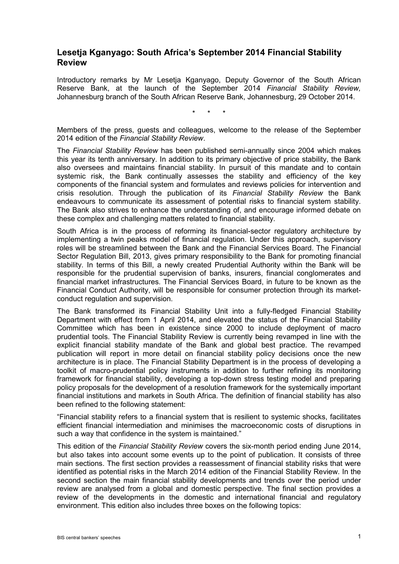## **Lesetja Kganyago: South Africa's September 2014 Financial Stability Review**

Introductory remarks by Mr Lesetja Kganyago, Deputy Governor of the South African Reserve Bank, at the launch of the September 2014 *Financial Stability Review,*  Johannesburg branch of the South African Reserve Bank, Johannesburg, 29 October 2014.

\* \* \*

Members of the press, guests and colleagues, welcome to the release of the September 2014 edition of the *Financial Stability Review*.

The *Financial Stability Review* has been published semi-annually since 2004 which makes this year its tenth anniversary. In addition to its primary objective of price stability, the Bank also oversees and maintains financial stability. In pursuit of this mandate and to contain systemic risk, the Bank continually assesses the stability and efficiency of the key components of the financial system and formulates and reviews policies for intervention and crisis resolution. Through the publication of its *Financial Stability Review* the Bank endeavours to communicate its assessment of potential risks to financial system stability. The Bank also strives to enhance the understanding of, and encourage informed debate on these complex and challenging matters related to financial stability.

South Africa is in the process of reforming its financial-sector regulatory architecture by implementing a twin peaks model of financial regulation. Under this approach, supervisory roles will be streamlined between the Bank and the Financial Services Board. The Financial Sector Regulation Bill, 2013, gives primary responsibility to the Bank for promoting financial stability. In terms of this Bill, a newly created Prudential Authority within the Bank will be responsible for the prudential supervision of banks, insurers, financial conglomerates and financial market infrastructures. The Financial Services Board, in future to be known as the Financial Conduct Authority, will be responsible for consumer protection through its marketconduct regulation and supervision.

The Bank transformed its Financial Stability Unit into a fully-fledged Financial Stability Department with effect from 1 April 2014, and elevated the status of the Financial Stability Committee which has been in existence since 2000 to include deployment of macro prudential tools. The Financial Stability Review is currently being revamped in line with the explicit financial stability mandate of the Bank and global best practice. The revamped publication will report in more detail on financial stability policy decisions once the new architecture is in place. The Financial Stability Department is in the process of developing a toolkit of macro-prudential policy instruments in addition to further refining its monitoring framework for financial stability, developing a top-down stress testing model and preparing policy proposals for the development of a resolution framework for the systemically important financial institutions and markets in South Africa. The definition of financial stability has also been refined to the following statement:

"Financial stability refers to a financial system that is resilient to systemic shocks, facilitates efficient financial intermediation and minimises the macroeconomic costs of disruptions in such a way that confidence in the system is maintained."

This edition of the *Financial Stability Review* covers the six-month period ending June 2014, but also takes into account some events up to the point of publication. It consists of three main sections. The first section provides a reassessment of financial stability risks that were identified as potential risks in the March 2014 edition of the Financial Stability Review. In the second section the main financial stability developments and trends over the period under review are analysed from a global and domestic perspective. The final section provides a review of the developments in the domestic and international financial and regulatory environment. This edition also includes three boxes on the following topics: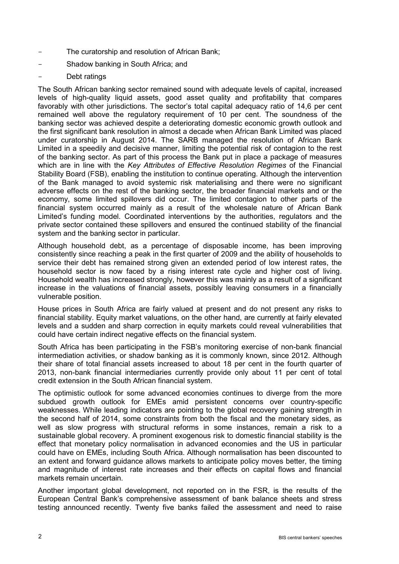- The curatorship and resolution of African Bank;
- Shadow banking in South Africa; and
- Debt ratings

The South African banking sector remained sound with adequate levels of capital, increased levels of high-quality liquid assets, good asset quality and profitability that compares favorably with other jurisdictions. The sector's total capital adequacy ratio of 14,6 per cent remained well above the regulatory requirement of 10 per cent. The soundness of the banking sector was achieved despite a deteriorating domestic economic growth outlook and the first significant bank resolution in almost a decade when African Bank Limited was placed under curatorship in August 2014. The SARB managed the resolution of African Bank Limited in a speedily and decisive manner, limiting the potential risk of contagion to the rest of the banking sector. As part of this process the Bank put in place a package of measures which are in line with the *Key Attributes of Effective Resolution Regimes* of the Financial Stability Board (FSB), enabling the institution to continue operating. Although the intervention of the Bank managed to avoid systemic risk materialising and there were no significant adverse effects on the rest of the banking sector, the broader financial markets and or the economy, some limited spillovers did occur. The limited contagion to other parts of the financial system occurred mainly as a result of the wholesale nature of African Bank Limited's funding model. Coordinated interventions by the authorities, regulators and the private sector contained these spillovers and ensured the continued stability of the financial system and the banking sector in particular.

Although household debt, as a percentage of disposable income, has been improving consistently since reaching a peak in the first quarter of 2009 and the ability of households to service their debt has remained strong given an extended period of low interest rates, the household sector is now faced by a rising interest rate cycle and higher cost of living. Household wealth has increased strongly, however this was mainly as a result of a significant increase in the valuations of financial assets, possibly leaving consumers in a financially vulnerable position.

House prices in South Africa are fairly valued at present and do not present any risks to financial stability. Equity market valuations, on the other hand, are currently at fairly elevated levels and a sudden and sharp correction in equity markets could reveal vulnerabilities that could have certain indirect negative effects on the financial system.

South Africa has been participating in the FSB's monitoring exercise of non-bank financial intermediation activities, or shadow banking as it is commonly known, since 2012. Although their share of total financial assets increased to about 18 per cent in the fourth quarter of 2013, non-bank financial intermediaries currently provide only about 11 per cent of total credit extension in the South African financial system.

The optimistic outlook for some advanced economies continues to diverge from the more subdued growth outlook for EMEs amid persistent concerns over country-specific weaknesses. While leading indicators are pointing to the global recovery gaining strength in the second half of 2014, some constraints from both the fiscal and the monetary sides, as well as slow progress with structural reforms in some instances, remain a risk to a sustainable global recovery. A prominent exogenous risk to domestic financial stability is the effect that monetary policy normalisation in advanced economies and the US in particular could have on EMEs, including South Africa. Although normalisation has been discounted to an extent and forward guidance allows markets to anticipate policy moves better, the timing and magnitude of interest rate increases and their effects on capital flows and financial markets remain uncertain.

Another important global development, not reported on in the FSR, is the results of the European Central Bank's comprehensive assessment of bank balance sheets and stress testing announced recently. Twenty five banks failed the assessment and need to raise